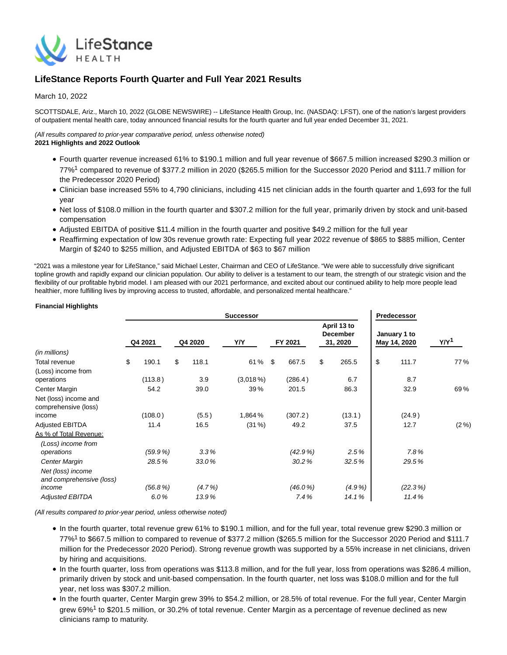

# **LifeStance Reports Fourth Quarter and Full Year 2021 Results**

## March 10, 2022

SCOTTSDALE, Ariz., March 10, 2022 (GLOBE NEWSWIRE) -- LifeStance Health Group, Inc. (NASDAQ: LFST), one of the nation's largest providers of outpatient mental health care, today announced financial results for the fourth quarter and full year ended December 31, 2021.

## (All results compared to prior-year comparative period, unless otherwise noted) **2021 Highlights and 2022 Outlook**

- Fourth quarter revenue increased 61% to \$190.1 million and full year revenue of \$667.5 million increased \$290.3 million or 77%<sup>1</sup> compared to revenue of \$377.2 million in 2020 (\$265.5 million for the Successor 2020 Period and \$111.7 million for the Predecessor 2020 Period)
- Clinician base increased 55% to 4,790 clinicians, including 415 net clinician adds in the fourth quarter and 1,693 for the full year
- Net loss of \$108.0 million in the fourth quarter and \$307.2 million for the full year, primarily driven by stock and unit-based compensation
- Adjusted EBITDA of positive \$11.4 million in the fourth quarter and positive \$49.2 million for the full year
- Reaffirming expectation of low 30s revenue growth rate: Expecting full year 2022 revenue of \$865 to \$885 million, Center Margin of \$240 to \$255 million, and Adjusted EBITDA of \$63 to \$67 million

"2021 was a milestone year for LifeStance," said Michael Lester, Chairman and CEO of LifeStance. "We were able to successfully drive significant topline growth and rapidly expand our clinician population. Our ability to deliver is a testament to our team, the strength of our strategic vision and the flexibility of our profitable hybrid model. I am pleased with our 2021 performance, and excited about our continued ability to help more people lead healthier, more fulfilling lives by improving access to trusted, affordable, and personalized mental healthcare."

## **Financial Highlights**

|                                               |             |             | <b>Successor</b> |            |                                            | Predecessor                  |                  |
|-----------------------------------------------|-------------|-------------|------------------|------------|--------------------------------------------|------------------------------|------------------|
|                                               | Q4 2021     | Q4 2020     | Y/Y              | FY 2021    | April 13 to<br><b>December</b><br>31, 2020 | January 1 to<br>May 14, 2020 | Y/Y <sup>1</sup> |
| (in millions)                                 |             |             |                  |            |                                            |                              |                  |
| Total revenue                                 | \$<br>190.1 | \$<br>118.1 | 61% \$           | 667.5      | \$<br>265.5                                | \$<br>111.7                  | 77%              |
| (Loss) income from<br>operations              | (113.8)     | 3.9         | $(3,018\%)$      | (286.4)    | 6.7                                        | 8.7                          |                  |
| Center Margin                                 | 54.2        | 39.0        | 39%              | 201.5      | 86.3                                       | 32.9                         | 69%              |
| Net (loss) income and<br>comprehensive (loss) |             |             |                  |            |                                            |                              |                  |
| income                                        | (108.0)     | (5.5)       | 1,864 %          | (307.2)    | (13.1)                                     | (24.9)                       |                  |
| <b>Adjusted EBITDA</b>                        | 11.4        | 16.5        | (31%)            | 49.2       | 37.5                                       | 12.7                         | $(2\%)$          |
| As % of Total Revenue:                        |             |             |                  |            |                                            |                              |                  |
| (Loss) income from<br>operations              | (59.9%      | 3.3%        |                  | (42.9%     | 2.5%                                       | 7.8%                         |                  |
| Center Margin                                 | 28.5%       | 33.0%       |                  | 30.2%      | 32.5%                                      | 29.5%                        |                  |
| Net (loss) income<br>and comprehensive (loss) |             |             |                  |            |                                            |                              |                  |
| income                                        | (56.8%)     | $(4.7\%)$   |                  | $(46.0\%)$ | $(4.9\%)$                                  | $(22.3\%)$                   |                  |
| <b>Adjusted EBITDA</b>                        | 6.0%        | 13.9%       |                  | 7.4%       | 14.1%                                      | 11.4%                        |                  |
|                                               |             |             |                  |            |                                            |                              |                  |

(All results compared to prior-year period, unless otherwise noted)

- In the fourth quarter, total revenue grew 61% to \$190.1 million, and for the full year, total revenue grew \$290.3 million or 77%1 to \$667.5 million to compared to revenue of \$377.2 million (\$265.5 million for the Successor 2020 Period and \$111.7 million for the Predecessor 2020 Period). Strong revenue growth was supported by a 55% increase in net clinicians, driven by hiring and acquisitions.
- In the fourth quarter, loss from operations was \$113.8 million, and for the full year, loss from operations was \$286.4 million, primarily driven by stock and unit-based compensation. In the fourth quarter, net loss was \$108.0 million and for the full year, net loss was \$307.2 million.
- In the fourth quarter, Center Margin grew 39% to \$54.2 million, or 28.5% of total revenue. For the full year, Center Margin grew 69%<sup>1</sup> to \$201.5 million, or 30.2% of total revenue. Center Margin as a percentage of revenue declined as new clinicians ramp to maturity.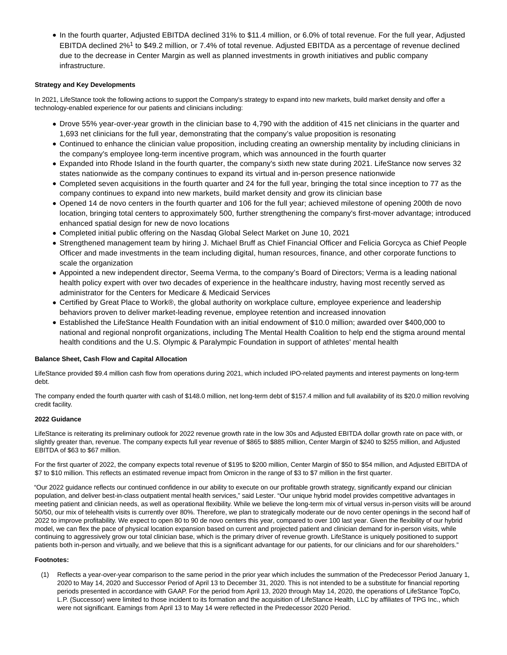• In the fourth quarter, Adjusted EBITDA declined 31% to \$11.4 million, or 6.0% of total revenue. For the full year, Adjusted EBITDA declined 2%<sup>1</sup> to \$49.2 million, or 7.4% of total revenue. Adjusted EBITDA as a percentage of revenue declined due to the decrease in Center Margin as well as planned investments in growth initiatives and public company infrastructure.

## **Strategy and Key Developments**

In 2021, LifeStance took the following actions to support the Company's strategy to expand into new markets, build market density and offer a technology-enabled experience for our patients and clinicians including:

- Drove 55% year-over-year growth in the clinician base to 4,790 with the addition of 415 net clinicians in the quarter and 1,693 net clinicians for the full year, demonstrating that the company's value proposition is resonating
- Continued to enhance the clinician value proposition, including creating an ownership mentality by including clinicians in the company's employee long-term incentive program, which was announced in the fourth quarter
- Expanded into Rhode Island in the fourth quarter, the company's sixth new state during 2021. LifeStance now serves 32 states nationwide as the company continues to expand its virtual and in-person presence nationwide
- Completed seven acquisitions in the fourth quarter and 24 for the full year, bringing the total since inception to 77 as the company continues to expand into new markets, build market density and grow its clinician base
- Opened 14 de novo centers in the fourth quarter and 106 for the full year; achieved milestone of opening 200th de novo location, bringing total centers to approximately 500, further strengthening the company's first-mover advantage; introduced enhanced spatial design for new de novo locations
- Completed initial public offering on the Nasdaq Global Select Market on June 10, 2021
- Strengthened management team by hiring J. Michael Bruff as Chief Financial Officer and Felicia Gorcyca as Chief People Officer and made investments in the team including digital, human resources, finance, and other corporate functions to scale the organization
- Appointed a new independent director, Seema Verma, to the company's Board of Directors; Verma is a leading national health policy expert with over two decades of experience in the healthcare industry, having most recently served as administrator for the Centers for Medicare & Medicaid Services
- Certified by Great Place to Work®, the global authority on workplace culture, employee experience and leadership behaviors proven to deliver market-leading revenue, employee retention and increased innovation
- Established the LifeStance Health Foundation with an initial endowment of \$10.0 million; awarded over \$400,000 to national and regional nonprofit organizations, including The Mental Health Coalition to help end the stigma around mental health conditions and the U.S. Olympic & Paralympic Foundation in support of athletes' mental health

## **Balance Sheet, Cash Flow and Capital Allocation**

LifeStance provided \$9.4 million cash flow from operations during 2021, which included IPO-related payments and interest payments on long-term debt.

The company ended the fourth quarter with cash of \$148.0 million, net long-term debt of \$157.4 million and full availability of its \$20.0 million revolving credit facility.

## **2022 Guidance**

LifeStance is reiterating its preliminary outlook for 2022 revenue growth rate in the low 30s and Adjusted EBITDA dollar growth rate on pace with, or slightly greater than, revenue. The company expects full year revenue of \$865 to \$885 million, Center Margin of \$240 to \$255 million, and Adjusted EBITDA of \$63 to \$67 million.

For the first quarter of 2022, the company expects total revenue of \$195 to \$200 million, Center Margin of \$50 to \$54 million, and Adjusted EBITDA of \$7 to \$10 million. This reflects an estimated revenue impact from Omicron in the range of \$3 to \$7 million in the first quarter.

"Our 2022 guidance reflects our continued confidence in our ability to execute on our profitable growth strategy, significantly expand our clinician population, and deliver best-in-class outpatient mental health services," said Lester. "Our unique hybrid model provides competitive advantages in meeting patient and clinician needs, as well as operational flexibility. While we believe the long-term mix of virtual versus in-person visits will be around 50/50, our mix of telehealth visits is currently over 80%. Therefore, we plan to strategically moderate our de novo center openings in the second half of 2022 to improve profitability. We expect to open 80 to 90 de novo centers this year, compared to over 100 last year. Given the flexibility of our hybrid model, we can flex the pace of physical location expansion based on current and projected patient and clinician demand for in-person visits, while continuing to aggressively grow our total clinician base, which is the primary driver of revenue growth. LifeStance is uniquely positioned to support patients both in-person and virtually, and we believe that this is a significant advantage for our patients, for our clinicians and for our shareholders."

## **Footnotes:**

(1) Reflects a year-over-year comparison to the same period in the prior year which includes the summation of the Predecessor Period January 1, 2020 to May 14, 2020 and Successor Period of April 13 to December 31, 2020. This is not intended to be a substitute for financial reporting periods presented in accordance with GAAP. For the period from April 13, 2020 through May 14, 2020, the operations of LifeStance TopCo, L.P. (Successor) were limited to those incident to its formation and the acquisition of LifeStance Health, LLC by affiliates of TPG Inc., which were not significant. Earnings from April 13 to May 14 were reflected in the Predecessor 2020 Period.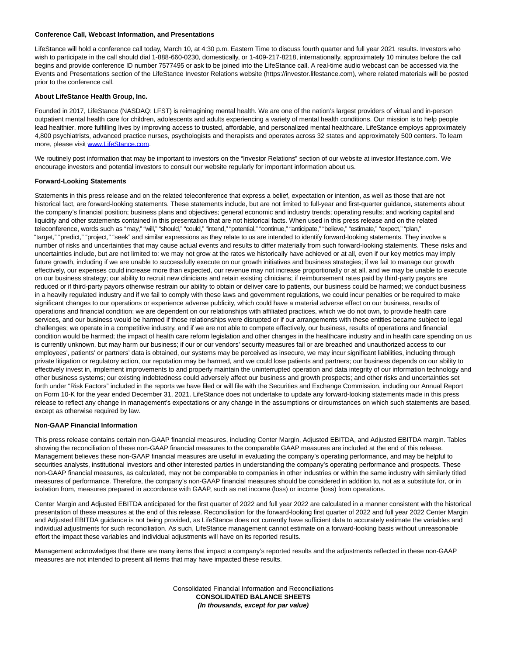#### **Conference Call, Webcast Information, and Presentations**

LifeStance will hold a conference call today, March 10, at 4:30 p.m. Eastern Time to discuss fourth quarter and full year 2021 results. Investors who wish to participate in the call should dial 1-888-660-0230, domestically, or 1-409-217-8218, internationally, approximately 10 minutes before the call begins and provide conference ID number 7577495 or ask to be joined into the LifeStance call. A real-time audio webcast can be accessed via the Events and Presentations section of the LifeStance Investor Relations website (https://investor.lifestance.com), where related materials will be posted prior to the conference call.

#### **About LifeStance Health Group, Inc.**

Founded in 2017, LifeStance (NASDAQ: LFST) is reimagining mental health. We are one of the nation's largest providers of virtual and in-person outpatient mental health care for children, adolescents and adults experiencing a variety of mental health conditions. Our mission is to help people lead healthier, more fulfilling lives by improving access to trusted, affordable, and personalized mental healthcare. LifeStance employs approximately 4,800 psychiatrists, advanced practice nurses, psychologists and therapists and operates across 32 states and approximately 500 centers. To learn more, please visit [www.LifeStance.com.](https://www.globenewswire.com/Tracker?data=jEYfeJgF6RduWmWbQL68KvzlHYF3tkzCuAjG7bWwRiiC_hKG--T6DzSaSO2aDDm2Pp_t9Eu_ENUnmvvF3PhPRaFDiHM-AmQu6UIgUGGOBp4=)

We routinely post information that may be important to investors on the "Investor Relations" section of our website at investor.lifestance.com. We encourage investors and potential investors to consult our website regularly for important information about us.

#### **Forward-Looking Statements**

Statements in this press release and on the related teleconference that express a belief, expectation or intention, as well as those that are not historical fact, are forward-looking statements. These statements include, but are not limited to full-year and first-quarter guidance, statements about the company's financial position; business plans and objectives; general economic and industry trends; operating results; and working capital and liquidity and other statements contained in this presentation that are not historical facts. When used in this press release and on the related teleconference, words such as "may," "will," "should," "could," "intend," "potential," "continue," "anticipate," "believe," "estimate," "expect," "plan," "target," "predict," "project," "seek" and similar expressions as they relate to us are intended to identify forward-looking statements. They involve a number of risks and uncertainties that may cause actual events and results to differ materially from such forward-looking statements. These risks and uncertainties include, but are not limited to: we may not grow at the rates we historically have achieved or at all, even if our key metrics may imply future growth, including if we are unable to successfully execute on our growth initiatives and business strategies; if we fail to manage our growth effectively, our expenses could increase more than expected, our revenue may not increase proportionally or at all, and we may be unable to execute on our business strategy; our ability to recruit new clinicians and retain existing clinicians; if reimbursement rates paid by third-party payors are reduced or if third-party payors otherwise restrain our ability to obtain or deliver care to patients, our business could be harmed; we conduct business in a heavily regulated industry and if we fail to comply with these laws and government regulations, we could incur penalties or be required to make significant changes to our operations or experience adverse publicity, which could have a material adverse effect on our business, results of operations and financial condition; we are dependent on our relationships with affiliated practices, which we do not own, to provide health care services, and our business would be harmed if those relationships were disrupted or if our arrangements with these entities became subject to legal challenges; we operate in a competitive industry, and if we are not able to compete effectively, our business, results of operations and financial condition would be harmed; the impact of health care reform legislation and other changes in the healthcare industry and in health care spending on us is currently unknown, but may harm our business; if our or our vendors' security measures fail or are breached and unauthorized access to our employees', patients' or partners' data is obtained, our systems may be perceived as insecure, we may incur significant liabilities, including through private litigation or regulatory action, our reputation may be harmed, and we could lose patients and partners; our business depends on our ability to effectively invest in, implement improvements to and properly maintain the uninterrupted operation and data integrity of our information technology and other business systems; our existing indebtedness could adversely affect our business and growth prospects; and other risks and uncertainties set forth under "Risk Factors" included in the reports we have filed or will file with the Securities and Exchange Commission, including our Annual Report on Form 10-K for the year ended December 31, 2021. LifeStance does not undertake to update any forward-looking statements made in this press release to reflect any change in management's expectations or any change in the assumptions or circumstances on which such statements are based, except as otherwise required by law.

#### **Non-GAAP Financial Information**

This press release contains certain non-GAAP financial measures, including Center Margin, Adjusted EBITDA, and Adjusted EBITDA margin. Tables showing the reconciliation of these non-GAAP financial measures to the comparable GAAP measures are included at the end of this release. Management believes these non-GAAP financial measures are useful in evaluating the company's operating performance, and may be helpful to securities analysts, institutional investors and other interested parties in understanding the company's operating performance and prospects. These non-GAAP financial measures, as calculated, may not be comparable to companies in other industries or within the same industry with similarly titled measures of performance. Therefore, the company's non-GAAP financial measures should be considered in addition to, not as a substitute for, or in isolation from, measures prepared in accordance with GAAP, such as net income (loss) or income (loss) from operations.

Center Margin and Adjusted EBITDA anticipated for the first quarter of 2022 and full year 2022 are calculated in a manner consistent with the historical presentation of these measures at the end of this release. Reconciliation for the forward-looking first quarter of 2022 and full year 2022 Center Margin and Adjusted EBITDA guidance is not being provided, as LifeStance does not currently have sufficient data to accurately estimate the variables and individual adjustments for such reconciliation. As such, LifeStance management cannot estimate on a forward-looking basis without unreasonable effort the impact these variables and individual adjustments will have on its reported results.

Management acknowledges that there are many items that impact a company's reported results and the adjustments reflected in these non-GAAP measures are not intended to present all items that may have impacted these results.

> Consolidated Financial Information and Reconciliations **CONSOLIDATED BALANCE SHEETS (In thousands, except for par value)**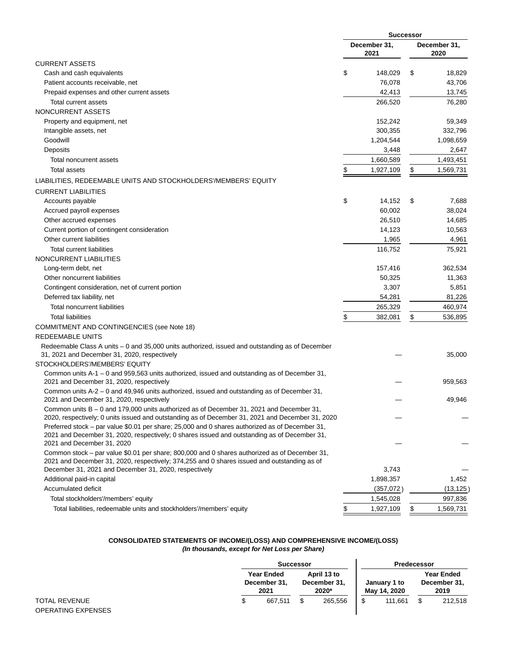|                                                                                                                                                                                              |                      | <b>Successor</b> |                      |  |  |
|----------------------------------------------------------------------------------------------------------------------------------------------------------------------------------------------|----------------------|------------------|----------------------|--|--|
|                                                                                                                                                                                              | December 31,<br>2021 |                  | December 31,<br>2020 |  |  |
| <b>CURRENT ASSETS</b>                                                                                                                                                                        |                      |                  |                      |  |  |
| Cash and cash equivalents                                                                                                                                                                    | \$<br>148,029        | \$               | 18,829               |  |  |
| Patient accounts receivable, net                                                                                                                                                             | 76,078               |                  | 43,706               |  |  |
| Prepaid expenses and other current assets                                                                                                                                                    | 42,413               |                  | 13,745               |  |  |
| Total current assets                                                                                                                                                                         | 266,520              |                  | 76,280               |  |  |
| NONCURRENT ASSETS                                                                                                                                                                            |                      |                  |                      |  |  |
| Property and equipment, net                                                                                                                                                                  | 152,242              |                  | 59,349               |  |  |
| Intangible assets, net                                                                                                                                                                       | 300,355              |                  | 332,796              |  |  |
| Goodwill                                                                                                                                                                                     | 1,204,544            |                  | 1,098,659            |  |  |
| Deposits                                                                                                                                                                                     | 3,448                |                  | 2,647                |  |  |
| Total noncurrent assets                                                                                                                                                                      | 1,660,589            |                  | 1,493,451            |  |  |
| <b>Total assets</b>                                                                                                                                                                          | \$<br>1,927,109      | \$               | 1,569,731            |  |  |
| LIABILITIES, REDEEMABLE UNITS AND STOCKHOLDERS'/MEMBERS' EQUITY                                                                                                                              |                      |                  |                      |  |  |
| <b>CURRENT LIABILITIES</b>                                                                                                                                                                   |                      |                  |                      |  |  |
| Accounts payable                                                                                                                                                                             | \$<br>14,152         | \$               | 7,688                |  |  |
| Accrued payroll expenses                                                                                                                                                                     | 60,002               |                  | 38,024               |  |  |
| Other accrued expenses                                                                                                                                                                       | 26,510               |                  | 14,685               |  |  |
| Current portion of contingent consideration                                                                                                                                                  | 14,123               |                  | 10,563               |  |  |
| Other current liabilities                                                                                                                                                                    | 1,965                |                  | 4,961                |  |  |
| <b>Total current liabilities</b>                                                                                                                                                             | 116,752              |                  | 75,921               |  |  |
| NONCURRENT LIABILITIES                                                                                                                                                                       |                      |                  |                      |  |  |
| Long-term debt, net                                                                                                                                                                          | 157,416              |                  | 362,534              |  |  |
| Other noncurrent liabilities                                                                                                                                                                 | 50,325               |                  | 11,363               |  |  |
| Contingent consideration, net of current portion                                                                                                                                             | 3,307                |                  | 5,851                |  |  |
| Deferred tax liability, net                                                                                                                                                                  | 54,281               |                  | 81,226               |  |  |
| <b>Total noncurrent liabilities</b>                                                                                                                                                          | 265,329              |                  | 460,974              |  |  |
| <b>Total liabilities</b>                                                                                                                                                                     | \$<br>382,081        | \$               | 536,895              |  |  |
| <b>COMMITMENT AND CONTINGENCIES (see Note 18)</b>                                                                                                                                            |                      |                  |                      |  |  |
| REDEEMABLE UNITS                                                                                                                                                                             |                      |                  |                      |  |  |
| Redeemable Class A units - 0 and 35,000 units authorized, issued and outstanding as of December                                                                                              |                      |                  |                      |  |  |
| 31, 2021 and December 31, 2020, respectively                                                                                                                                                 |                      |                  | 35,000               |  |  |
| STOCKHOLDERS'/MEMBERS' EQUITY                                                                                                                                                                |                      |                  |                      |  |  |
| Common units A-1 - 0 and 959,563 units authorized, issued and outstanding as of December 31,                                                                                                 |                      |                  |                      |  |  |
| 2021 and December 31, 2020, respectively                                                                                                                                                     |                      |                  | 959,563              |  |  |
| Common units A-2 - 0 and 49,946 units authorized, issued and outstanding as of December 31,                                                                                                  |                      |                  |                      |  |  |
| 2021 and December 31, 2020, respectively                                                                                                                                                     |                      |                  | 49,946               |  |  |
| Common units B - 0 and 179,000 units authorized as of December 31, 2021 and December 31,<br>2020, respectively; 0 units issued and outstanding as of December 31, 2021 and December 31, 2020 |                      |                  |                      |  |  |
| Preferred stock – par value \$0.01 per share; 25,000 and 0 shares authorized as of December 31,                                                                                              |                      |                  |                      |  |  |
| 2021 and December 31, 2020, respectively; 0 shares issued and outstanding as of December 31,                                                                                                 |                      |                  |                      |  |  |
| 2021 and December 31, 2020                                                                                                                                                                   |                      |                  |                      |  |  |
| Common stock - par value \$0.01 per share; 800,000 and 0 shares authorized as of December 31,                                                                                                |                      |                  |                      |  |  |
| 2021 and December 31, 2020, respectively; 374,255 and 0 shares issued and outstanding as of                                                                                                  |                      |                  |                      |  |  |
| December 31, 2021 and December 31, 2020, respectively                                                                                                                                        | 3,743                |                  |                      |  |  |
| Additional paid-in capital                                                                                                                                                                   | 1,898,357            |                  | 1,452                |  |  |
| Accumulated deficit                                                                                                                                                                          | (357,072)            |                  | (13, 125)            |  |  |
| Total stockholders'/members' equity                                                                                                                                                          | 1,545,028            |                  | 997,836              |  |  |
| Total liabilities, redeemable units and stockholders'/members' equity                                                                                                                        | \$<br>1,927,109      |                  | 1,569,731            |  |  |

#### **CONSOLIDATED STATEMENTS OF INCOME/(LOSS) AND COMPREHENSIVE INCOME/(LOSS) (In thousands, except for Net Loss per Share)**

|                                                   |                                    | <b>Successor</b>                     |  |                              |                                           | Predecessor |
|---------------------------------------------------|------------------------------------|--------------------------------------|--|------------------------------|-------------------------------------------|-------------|
| <b>TOTAL REVENUE</b><br><b>OPERATING EXPENSES</b> | Year Ended<br>December 31,<br>2021 | April 13 to<br>December 31,<br>2020* |  | January 1 to<br>May 14, 2020 | <b>Year Ended</b><br>December 31,<br>2019 |             |
|                                                   | 667.511                            | 265.556                              |  | 111.661                      |                                           | 212,518     |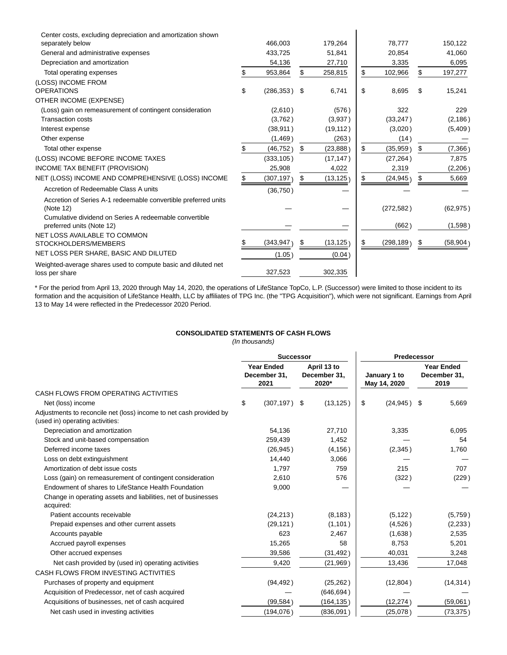| Center costs, excluding depreciation and amortization shown<br>separately below     |     | 466,003         | 179,264         | 78,777           | 150,122         |
|-------------------------------------------------------------------------------------|-----|-----------------|-----------------|------------------|-----------------|
| General and administrative expenses                                                 |     | 433,725         | 51,841          | 20,854           | 41,060          |
| Depreciation and amortization                                                       |     | 54,136          | 27,710          | 3,335            | 6,095           |
| Total operating expenses                                                            | \$. | 953,864         | \$<br>258,815   | \$<br>102,966    | \$<br>197,277   |
| (LOSS) INCOME FROM                                                                  |     |                 |                 |                  |                 |
| <b>OPERATIONS</b>                                                                   | \$  | $(286, 353)$ \$ | 6,741           | \$<br>8,695      | \$<br>15,241    |
| OTHER INCOME (EXPENSE)                                                              |     |                 |                 |                  |                 |
| (Loss) gain on remeasurement of contingent consideration                            |     | (2,610)         | (576)           | 322              | 229             |
| <b>Transaction costs</b>                                                            |     | (3,762)         | (3,937)         | (33, 247)        | (2, 186)        |
| Interest expense                                                                    |     | (38, 911)       | (19, 112)       | (3,020)          | (5,409)         |
| Other expense                                                                       |     | (1, 469)        | (263)           | (14)             |                 |
| Total other expense                                                                 | \$  | (46, 752)       | \$<br>(23, 888) | \$<br>(35, 959)  | \$<br>(7, 366)  |
| (LOSS) INCOME BEFORE INCOME TAXES                                                   |     | (333, 105)      | (17, 147)       | (27, 264)        | 7,875           |
| INCOME TAX BENEFIT (PROVISION)                                                      |     | 25,908          | 4,022           | 2,319            | (2, 206)        |
| NET (LOSS) INCOME AND COMPREHENSIVE (LOSS) INCOME                                   | \$  | (307, 197)      | \$<br>(13, 125) | \$<br>(24, 945)  | \$<br>5,669     |
| Accretion of Redeemable Class A units                                               |     | (36, 750)       |                 |                  |                 |
| Accretion of Series A-1 redeemable convertible preferred units<br>(Note 12)         |     |                 |                 | (272, 582)       | (62, 975)       |
| Cumulative dividend on Series A redeemable convertible<br>preferred units (Note 12) |     |                 |                 | (662)            | (1,598)         |
| NET LOSS AVAILABLE TO COMMON<br>STOCKHOLDERS/MEMBERS                                |     | (343, 947)      | \$<br>(13, 125) | \$<br>(298, 189) | \$<br>(58, 904) |
| NET LOSS PER SHARE, BASIC AND DILUTED                                               |     | (1.05)          | (0.04)          |                  |                 |
| Weighted-average shares used to compute basic and diluted net<br>loss per share     |     | 327,523         | 302,335         |                  |                 |

\* For the period from April 13, 2020 through May 14, 2020, the operations of LifeStance TopCo, L.P. (Successor) were limited to those incident to its formation and the acquisition of LifeStance Health, LLC by affiliates of TPG Inc. (the "TPG Acquisition"), which were not significant. Earnings from April 13 to May 14 were reflected in the Predecessor 2020 Period.

## **CONSOLIDATED STATEMENTS OF CASH FLOWS**

(In thousands)

|                                                                                                       | <b>Successor</b>                          |            |     | Predecessor                          |    |                              |    |                                           |  |
|-------------------------------------------------------------------------------------------------------|-------------------------------------------|------------|-----|--------------------------------------|----|------------------------------|----|-------------------------------------------|--|
|                                                                                                       | <b>Year Ended</b><br>December 31,<br>2021 |            |     | April 13 to<br>December 31,<br>2020* |    | January 1 to<br>May 14, 2020 |    | <b>Year Ended</b><br>December 31,<br>2019 |  |
| CASH FLOWS FROM OPERATING ACTIVITIES                                                                  |                                           |            |     |                                      |    |                              |    |                                           |  |
| Net (loss) income                                                                                     | \$                                        | (307, 197) | -\$ | (13, 125)                            | \$ | (24, 945)                    | \$ | 5,669                                     |  |
| Adjustments to reconcile net (loss) income to net cash provided by<br>(used in) operating activities: |                                           |            |     |                                      |    |                              |    |                                           |  |
| Depreciation and amortization                                                                         |                                           | 54,136     |     | 27,710                               |    | 3,335                        |    | 6,095                                     |  |
| Stock and unit-based compensation                                                                     |                                           | 259,439    |     | 1,452                                |    |                              |    | 54                                        |  |
| Deferred income taxes                                                                                 |                                           | (26, 945)  |     | (4, 156)                             |    | (2,345)                      |    | 1,760                                     |  |
| Loss on debt extinguishment                                                                           |                                           | 14,440     |     | 3,066                                |    |                              |    |                                           |  |
| Amortization of debt issue costs                                                                      |                                           | 1.797      |     | 759                                  |    | 215                          |    | 707                                       |  |
| Loss (gain) on remeasurement of contingent consideration                                              |                                           | 2,610      |     | 576                                  |    | (322)                        |    | (229)                                     |  |
| Endowment of shares to LifeStance Health Foundation                                                   |                                           | 9,000      |     |                                      |    |                              |    |                                           |  |
| Change in operating assets and liabilities, net of businesses<br>acquired:                            |                                           |            |     |                                      |    |                              |    |                                           |  |
| Patient accounts receivable                                                                           |                                           | (24, 213)  |     | (8, 183)                             |    | (5, 122)                     |    | (5,759)                                   |  |
| Prepaid expenses and other current assets                                                             |                                           | (29, 121)  |     | (1,101)                              |    | (4,526)                      |    | (2,233)                                   |  |
| Accounts payable                                                                                      |                                           | 623        |     | 2,467                                |    | (1,638)                      |    | 2,535                                     |  |
| Accrued payroll expenses                                                                              |                                           | 15,265     |     | 58                                   |    | 8,753                        |    | 5,201                                     |  |
| Other accrued expenses                                                                                |                                           | 39,586     |     | (31, 492)                            |    | 40,031                       |    | 3,248                                     |  |
| Net cash provided by (used in) operating activities                                                   |                                           | 9,420      |     | (21, 969)                            |    | 13,436                       |    | 17,048                                    |  |
| CASH FLOWS FROM INVESTING ACTIVITIES                                                                  |                                           |            |     |                                      |    |                              |    |                                           |  |
| Purchases of property and equipment                                                                   |                                           | (94, 492)  |     | (25, 262)                            |    | (12, 804)                    |    | (14, 314)                                 |  |
| Acquisition of Predecessor, net of cash acquired                                                      |                                           |            |     | (646, 694)                           |    |                              |    |                                           |  |
| Acquisitions of businesses, net of cash acquired                                                      |                                           | (99, 584)  |     | (164, 135)                           |    | (12, 274)                    |    | (59,061)                                  |  |
| Net cash used in investing activities                                                                 |                                           | (194, 076) |     | (836,091)                            |    | (25,078)                     |    | (73, 375)                                 |  |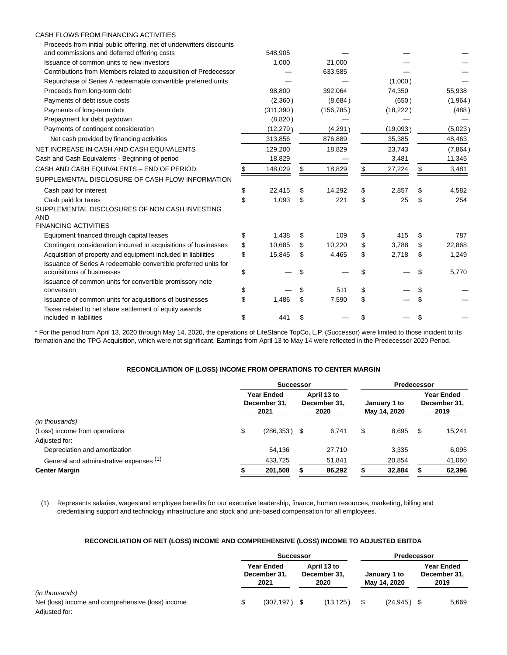| CASH FLOWS FROM FINANCING ACTIVITIES                                                          |    |            |              |              |              |
|-----------------------------------------------------------------------------------------------|----|------------|--------------|--------------|--------------|
| Proceeds from initial public offering, net of underwriters discounts                          |    |            |              |              |              |
| and commissions and deferred offering costs                                                   |    | 548,905    |              |              |              |
| Issuance of common units to new investors                                                     |    | 1,000      | 21,000       |              |              |
| Contributions from Members related to acquisition of Predecessor                              |    |            | 633,585      |              |              |
| Repurchase of Series A redeemable convertible preferred units                                 |    |            |              | (1,000)      |              |
| Proceeds from long-term debt                                                                  |    | 98.800     | 392.064      | 74,350       | 55,938       |
| Payments of debt issue costs                                                                  |    | (2,360)    | (8,684)      | (650)        | (1,964)      |
| Payments of long-term debt                                                                    |    | (311, 390) | (156, 785)   | (18, 222)    | (488)        |
| Prepayment for debt paydown                                                                   |    | (8,820)    |              |              |              |
| Payments of contingent consideration                                                          |    | (12, 279)  | (4,291)      | (19,093)     | (5,023)      |
| Net cash provided by financing activities                                                     |    | 313,856    | 876,889      | 35,385       | 48,463       |
| NET INCREASE IN CASH AND CASH EQUIVALENTS                                                     |    | 129,200    | 18,829       | 23,743       | (7,864)      |
| Cash and Cash Equivalents - Beginning of period                                               |    | 18,829     |              | 3,481        | 11,345       |
| CASH AND CASH EQUIVALENTS - END OF PERIOD                                                     | S  | 148,029    | \$<br>18,829 | \$<br>27,224 | \$<br>3,481  |
| SUPPLEMENTAL DISCLOSURE OF CASH FLOW INFORMATION                                              |    |            |              |              |              |
| Cash paid for interest                                                                        | \$ | 22,415     | \$<br>14,292 | \$<br>2,857  | \$<br>4,582  |
| Cash paid for taxes                                                                           | \$ | 1,093      | \$<br>221    | \$<br>25     | \$<br>254    |
| SUPPLEMENTAL DISCLOSURES OF NON CASH INVESTING<br><b>AND</b>                                  |    |            |              |              |              |
| <b>FINANCING ACTIVITIES</b>                                                                   |    |            |              |              |              |
| Equipment financed through capital leases                                                     | \$ | 1.438      | \$<br>109    | \$<br>415    | \$<br>787    |
| Contingent consideration incurred in acquisitions of businesses                               | \$ | 10,685     | \$<br>10,220 | \$<br>3,788  | \$<br>22,868 |
| Acquisition of property and equipment included in liabilities                                 | \$ | 15,845     | \$<br>4,465  | \$<br>2,718  | \$<br>1,249  |
| Issuance of Series A redeemable convertible preferred units for<br>acquisitions of businesses | \$ |            | \$           | \$           | \$<br>5,770  |
| Issuance of common units for convertible promissory note                                      |    |            |              |              |              |
| conversion                                                                                    | \$ |            | \$<br>511    | \$           | \$           |
| Issuance of common units for acquisitions of businesses                                       | \$ | 1,486      | \$<br>7,590  | \$           | \$           |
| Taxes related to net share settlement of equity awards<br>included in liabilities             | \$ | 441        | \$           | \$           | \$           |

\* For the period from April 13, 2020 through May 14, 2020, the operations of LifeStance TopCo, L.P. (Successor) were limited to those incident to its formation and the TPG Acquisition, which were not significant. Earnings from April 13 to May 14 were reflected in the Predecessor 2020 Period.

## **RECONCILIATION OF (LOSS) INCOME FROM OPERATIONS TO CENTER MARGIN**

|                                         | <b>Successor</b>                          |                                     |        |                              | Predecessor |                                    |        |  |
|-----------------------------------------|-------------------------------------------|-------------------------------------|--------|------------------------------|-------------|------------------------------------|--------|--|
|                                         | <b>Year Ended</b><br>December 31,<br>2021 | April 13 to<br>December 31,<br>2020 |        | January 1 to<br>May 14, 2020 |             | Year Ended<br>December 31,<br>2019 |        |  |
| (in thousands)                          |                                           |                                     |        |                              |             |                                    |        |  |
| (Loss) income from operations           | \$<br>$(286, 353)$ \$                     |                                     | 6.741  | \$                           | 8,695       | S                                  | 15.241 |  |
| Adjusted for:                           |                                           |                                     |        |                              |             |                                    |        |  |
| Depreciation and amortization           | 54,136                                    |                                     | 27,710 |                              | 3,335       |                                    | 6,095  |  |
| General and administrative expenses (1) | 433,725                                   |                                     | 51,841 |                              | 20,854      |                                    | 41,060 |  |
| <b>Center Margin</b>                    | 201,508                                   |                                     | 86,292 |                              | 32,884      |                                    | 62,396 |  |

(1) Represents salaries, wages and employee benefits for our executive leadership, finance, human resources, marketing, billing and credentialing support and technology infrastructure and stock and unit-based compensation for all employees.

## **RECONCILIATION OF NET (LOSS) INCOME AND COMPREHENSIVE (LOSS) INCOME TO ADJUSTED EBITDA**

|                                                   | <b>Successor</b>                          |                                     |           |                              | Predecessor |                                           |       |  |  |
|---------------------------------------------------|-------------------------------------------|-------------------------------------|-----------|------------------------------|-------------|-------------------------------------------|-------|--|--|
|                                                   | <b>Year Ended</b><br>December 31,<br>2021 | April 13 to<br>December 31.<br>2020 |           | January 1 to<br>May 14, 2020 |             | <b>Year Ended</b><br>December 31,<br>2019 |       |  |  |
| (in thousands)                                    |                                           |                                     |           |                              |             |                                           |       |  |  |
| Net (loss) income and comprehensive (loss) income | $(307, 197)$ \$                           |                                     | (13, 125) |                              | (24.945)    |                                           | 5,669 |  |  |
| Adjusted for:                                     |                                           |                                     |           |                              |             |                                           |       |  |  |